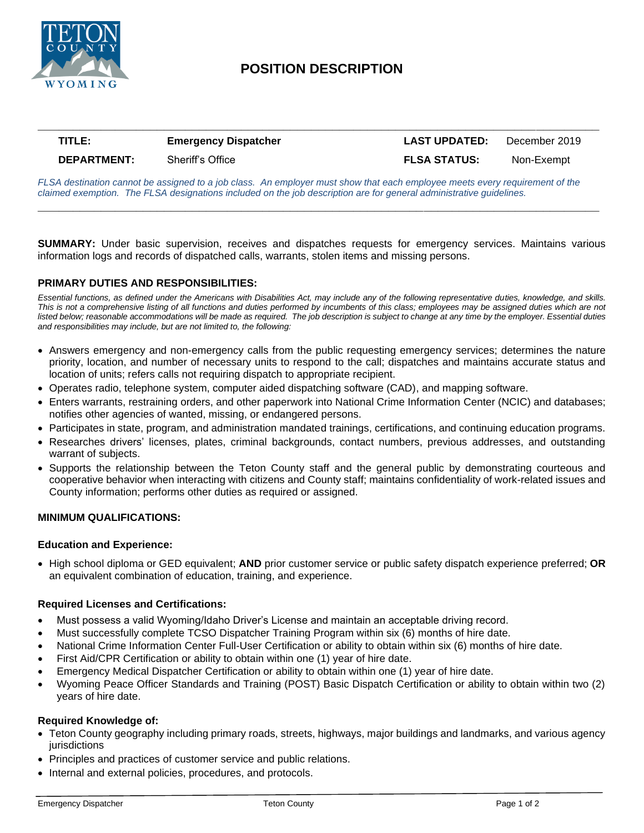

# **POSITION DESCRIPTION**

**\_\_\_\_\_\_\_\_\_\_\_\_\_\_\_\_\_\_\_\_\_\_\_\_\_\_\_\_\_\_\_\_\_\_\_\_\_\_\_\_\_\_\_\_\_\_\_\_\_\_\_\_\_\_\_\_\_\_\_\_\_\_\_\_\_\_\_\_\_\_\_\_\_\_\_\_\_\_\_\_**

## **TITLE: Emergency Dispatcher LAST UPDATED:** December 2019 **DEPARTMENT:** Sheriff's Office **FLSA STATUS:** Non-Exempt

*FLSA destination cannot be assigned to a job class. An employer must show that each employee meets every requirement of the claimed exemption. The FLSA designations included on the job description are for general administrative guidelines.*

**\_\_\_\_\_\_\_\_\_\_\_\_\_\_\_\_\_\_\_\_\_\_\_\_\_\_\_\_\_\_\_\_\_\_\_\_\_\_\_\_\_\_\_\_\_\_\_\_\_\_\_\_\_\_\_\_\_\_\_\_\_\_\_\_\_\_\_\_\_\_\_\_\_\_\_\_\_\_\_\_**

**SUMMARY:** Under basic supervision, receives and dispatches requests for emergency services. Maintains various information logs and records of dispatched calls, warrants, stolen items and missing persons.

### **PRIMARY DUTIES AND RESPONSIBILITIES:**

*Essential functions, as defined under the Americans with Disabilities Act, may include any of the following representative duties, knowledge, and skills. This is not a comprehensive listing of all functions and duties performed by incumbents of this class; employees may be assigned duties which are not listed below; reasonable accommodations will be made as required. The job description is subject to change at any time by the employer. Essential duties and responsibilities may include, but are not limited to, the following:*

- Answers emergency and non-emergency calls from the public requesting emergency services; determines the nature priority, location, and number of necessary units to respond to the call; dispatches and maintains accurate status and location of units; refers calls not requiring dispatch to appropriate recipient.
- Operates radio, telephone system, computer aided dispatching software (CAD), and mapping software.
- Enters warrants, restraining orders, and other paperwork into National Crime Information Center (NCIC) and databases; notifies other agencies of wanted, missing, or endangered persons.
- Participates in state, program, and administration mandated trainings, certifications, and continuing education programs.
- Researches drivers' licenses, plates, criminal backgrounds, contact numbers, previous addresses, and outstanding warrant of subjects.
- Supports the relationship between the Teton County staff and the general public by demonstrating courteous and cooperative behavior when interacting with citizens and County staff; maintains confidentiality of work-related issues and County information; performs other duties as required or assigned.

#### **MINIMUM QUALIFICATIONS:**

#### **Education and Experience:**

• High school diploma or GED equivalent; **AND** prior customer service or public safety dispatch experience preferred; **OR**  an equivalent combination of education, training, and experience.

#### **Required Licenses and Certifications:**

- Must possess a valid Wyoming/Idaho Driver's License and maintain an acceptable driving record.
- Must successfully complete TCSO Dispatcher Training Program within six (6) months of hire date.
- National Crime Information Center Full-User Certification or ability to obtain within six (6) months of hire date.
- First Aid/CPR Certification or ability to obtain within one (1) year of hire date.
- Emergency Medical Dispatcher Certification or ability to obtain within one (1) year of hire date.
- Wyoming Peace Officer Standards and Training (POST) Basic Dispatch Certification or ability to obtain within two (2) years of hire date.

#### **Required Knowledge of:**

- Teton County geography including primary roads, streets, highways, major buildings and landmarks, and various agency jurisdictions
- Principles and practices of customer service and public relations.
- Internal and external policies, procedures, and protocols.